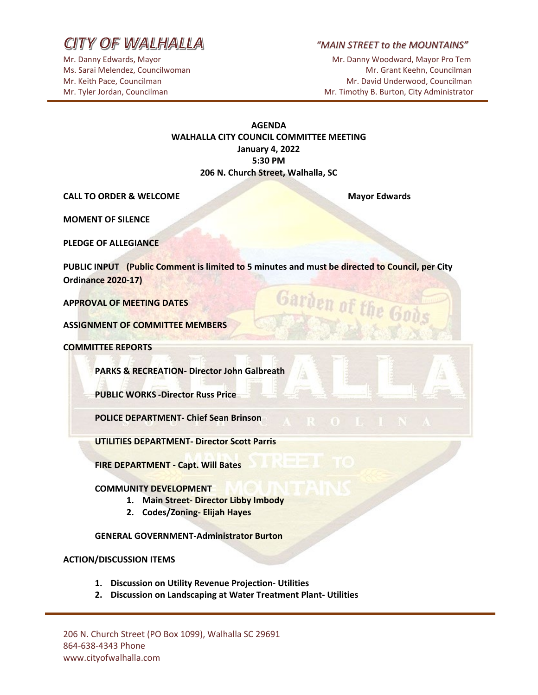CITY OF WALHALLA

*"MAIN STREET to the MOUNTAINS"* 

Mr. Danny Edwards, Mayor Mathematic Media and Mr. Danny Woodward, Mayor Pro Tem Ms. Sarai Melendez, Councilwoman Mr. Grant Keehn, Councilman Mr. Grant Keehn, Councilman Mr. Keith Pace, Councilman Mr. David Underwood, Councilman Mr. David Underwood, Councilman Mr. Tyler Jordan, Councilman Mr. Timothy B. Burton, City Administrator

### **AGENDA WALHALLA CITY COUNCIL COMMITTEE MEETING January 4, 2022 5:30 PM 206 N. Church Street, Walhalla, SC**

**CALL TO ORDER & WELCOME Mayor Edwards Mayor Edwards** 

Garden of the G

**MOMENT OF SILENCE**

**PLEDGE OF ALLEGIANCE**

**PUBLIC INPUT (Public Comment is limited to 5 minutes and must be directed to Council, per City Ordinance 2020-17)**

**APPROVAL OF MEETING DATES**

**ASSIGNMENT OF COMMITTEE MEMBERS** 

**COMMITTEE REPORTS**

**PARKS & RECREATION- Director John Galbreath**

**PUBLIC WORKS -Director Russ Price**

**POLICE DEPARTMENT- Chief Sean Brinson** 

**UTILITIES DEPARTMENT- Director Scott Parris**

**FIRE DEPARTMENT - Capt. Will Bates**

#### **COMMUNITY DEVELOPMENT**

- **1. Main Street- Director Libby Imbody**
- **2. Codes/Zoning- Elijah Hayes**

**GENERAL GOVERNMENT-Administrator Burton**

### **ACTION/DISCUSSION ITEMS**

- **1. Discussion on Utility Revenue Projection- Utilities**
- **2. Discussion on Landscaping at Water Treatment Plant- Utilities**